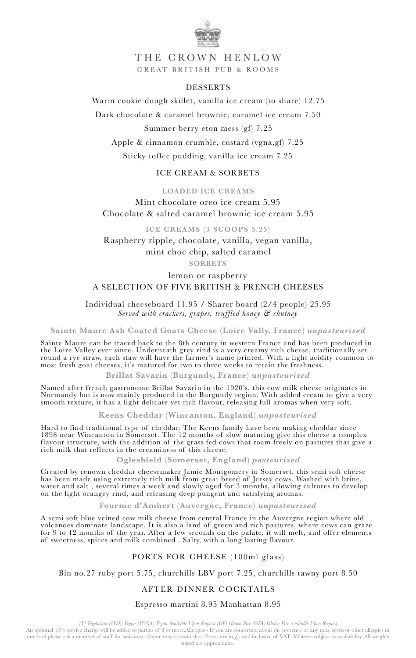

THE CROWN HENLOW GREAT BRITISH PUB & ROOMS

#### DESSERTS

Warm cookie dough skillet, vanilla ice cream (to share) 12.75

Dark chocolate & caramel brownie, caramel ice cream 7.50

Summer berry eton mess (gf) 7.25

Apple & cinnamon crumble, custard (vgna,gf) 7.25

Sticky toffee pudding, vanilla ice cream 7.25

### ICE CREAM & SORBETS

**LOADED ICE CREAMS**  Mint chocolate oreo ice cream 5.95 Chocolate & salted caramel brownie ice cream 5.95

**ICE CREAMS (3 SCOOPS 5.25)** 

Raspberry ripple, chocolate, vanilla, vegan vanilla, mint choc chip, salted caramel

## **SORBETS**

# lemon or raspberry A SELECTION OF FIVE BRITISH & FRENCH CHEESES

Individual cheeseboard 11.95 / Sharer board (2/4 people) 25.95 *Served with crackers, grapes, truffled honey & chutney*

**Sainte Maure Ash Coated Goats Cheese (Loire Vally, France)** *unpasteurised*

Sainte Maure can be traced back to the 8th century in western France and has been produced in the Loire Valley ever since. Underneath grey rind is a very creamy rich cheese, traditionally set round a rye straw, each staw will have the farmer's name printed. With a light acidity common to most fresh goat cheeses, it's matured for two to three weeks to retain the freshness.

**Brillat Savarin (Burgundy, France) u***npasteurised*

Named after french gastronome Brillat Savarin in the 1920's, this cow milk cheese originates in Normandy but is now mainly produced in the Burgundy region. With added cream to give a very smooth texture, it has a light delicate yet rich flavour, releasing full aromas when very soft.

**Keens Cheddar (Wincanton, England) u***npasteurised*

Hard to find traditional type of cheddar. The Keens family have been making cheddar since 1898 near Wincanton in Somerset. The 12 months of slow maturing give this cheese a complex flavour structure, with the addition of the grass fed cows that roam freely on pastures that give a rich milk that reflects in the creaminess of this cheese.

**Ogleshield (Somerset, England)** *pasteurised*

Created by renown cheddar cheesemaker Jamie Montgomery in Somerset, this semi soft cheese has been made using extremely rich milk from great breed of Jersey cows. Washed with brine, water and salt , several times a week and slowly aged for 3 months, allowing cultures to develop on the light orangey rind, and releasing deep pungent and satisfying aromas.

**Fourme d'Ambert (Auvergne, France) un***pasteurised*

A semi soft blue veined cow milk cheese from central France in the Auvergne region where old volcanoes dominate landscape. It is also a land of green and rich pastures, where cows can graze for 9 to 12 months of the year. After a few seconds on the palate, it will melt, and offer elements of sweetness, spices and milk combined . Salty, with a long lasting flavour.

#### PORTS FOR CHEESE (100ml glass)

Bin no.27 ruby port 5.75, churchills LBV port 7.25, churchills tawny port 8.50

## AFTER DINNER COCKTAILS

#### Espresso martini 8.95 Manhattan 8.95

(V) Vegetarian (VGN) Vegan (VGNA) Vegan Available Upon Request (GF) Gluten Free (GFA) Gluten Free Available Upon Request)<br>An optional 10% service charge will be added to parties of 8 or more.Allergies - If you are concerne our food please ask a member of staff for assistance. Game may contain shot. Prices are in £s and inclusive of VAT. All items subject to availability. All weights stated are approximate.